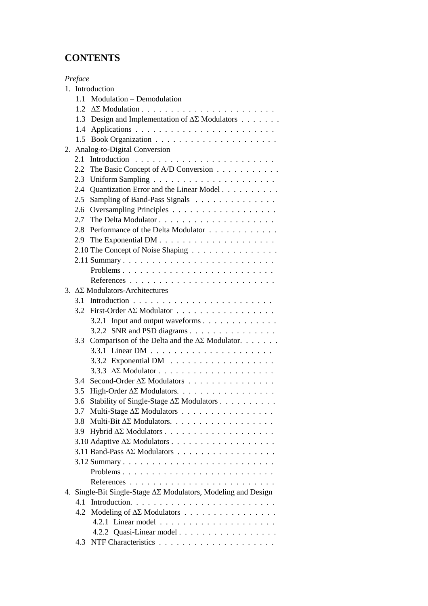## **CONTENTS**

| Preface    |                                                                           |
|------------|---------------------------------------------------------------------------|
|            | 1. Introduction                                                           |
| 1.1        | Modulation – Demodulation                                                 |
| 12         |                                                                           |
| 1.3        | Design and Implementation of $\Delta\Sigma$ Modulators                    |
| 1.4        |                                                                           |
| 1.5        |                                                                           |
|            | 2. Analog-to-Digital Conversion                                           |
| 2.1        |                                                                           |
| 2.2        | The Basic Concept of A/D Conversion                                       |
| 2.3        |                                                                           |
| 2.4        | Quantization Error and the Linear Model                                   |
| 2.5        | Sampling of Band-Pass Signals                                             |
| 2.6        |                                                                           |
| 2.7        |                                                                           |
| 2.8        | Performance of the Delta Modulator                                        |
| 2.9        |                                                                           |
|            | 2.10 The Concept of Noise Shaping                                         |
|            |                                                                           |
|            |                                                                           |
|            |                                                                           |
|            | 3. $\Delta\Sigma$ Modulators-Architectures                                |
| 3.1        |                                                                           |
| 3.2        | First-Order $\Delta \Sigma$ Modulator                                     |
|            | 3.2.1 Input and output waveforms                                          |
|            | 3.2.2 SNR and PSD diagrams                                                |
| 3.3        | Comparison of the Delta and the $\Delta\Sigma$ Modulator.                 |
|            |                                                                           |
|            | 3.3.2 Exponential DM $\ldots \ldots \ldots \ldots \ldots$                 |
|            |                                                                           |
| 34         | Second-Order $\Delta \Sigma$ Modulators                                   |
| 3.5        | High-Order $\Delta \Sigma$ Modulators.                                    |
| 3.6        | Stability of Single-Stage $\Delta \Sigma$ Modulators                      |
| 3.7        | Multi-Stage $\Delta \Sigma$ Modulators                                    |
| 3.8        | Multi-Bit $\Delta \Sigma$ Modulators.                                     |
|            |                                                                           |
|            |                                                                           |
|            | $3.11$ Band-Pass $\Delta\Sigma$ Modulators                                |
|            |                                                                           |
|            |                                                                           |
|            |                                                                           |
|            | 4. Single-Bit Single-Stage $\Delta\Sigma$ Modulators, Modeling and Design |
| 4.1<br>4.2 | Modeling of $\Delta \Sigma$ Modulators                                    |
|            |                                                                           |
|            | 4.2.2 Quasi-Linear model                                                  |
|            |                                                                           |
|            |                                                                           |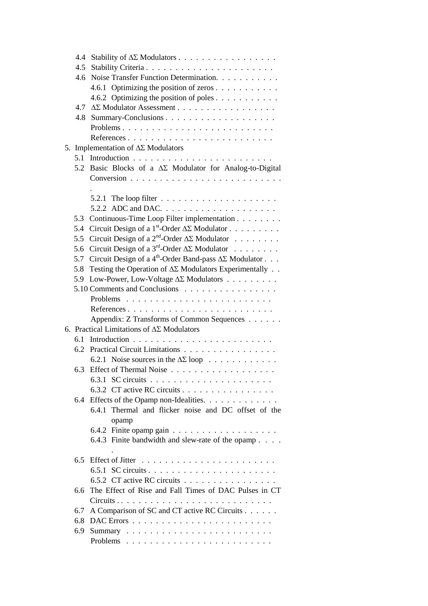| 4.4 | Stability of $\Delta \Sigma$ Modulators                                       |
|-----|-------------------------------------------------------------------------------|
| 4.5 |                                                                               |
| 4.6 | Noise Transfer Function Determination.                                        |
|     | 4.6.1 Optimizing the position of zeros                                        |
|     | 4.6.2 Optimizing the position of poles                                        |
|     | 4.7 ΔΣ Modulator Assessment                                                   |
| 4.8 |                                                                               |
|     | Problems                                                                      |
|     |                                                                               |
|     | 5. Implementation of $\Delta\Sigma$ Modulators                                |
| 5.1 |                                                                               |
|     | 5.2 Basic Blocks of a $\Delta \Sigma$ Modulator for Analog-to-Digital         |
|     |                                                                               |
|     |                                                                               |
|     | 5.2.1 The loop filter $\ldots \ldots \ldots \ldots \ldots \ldots$             |
|     |                                                                               |
| 5.3 | Continuous-Time Loop Filter implementation                                    |
| 5.4 | Circuit Design of a 1 <sup>st</sup> -Order $\Delta \Sigma$ Modulator          |
| 5.5 | Circuit Design of a $2^{nd}$ -Order $\Delta \Sigma$ Modulator                 |
| 5.6 | Circuit Design of a $3^{rd}$ -Order $\Delta \Sigma$ Modulator                 |
| 5.7 | Circuit Design of a 4 <sup>th</sup> -Order Band-pass $\Delta\Sigma$ Modulator |
| 5.8 | Testing the Operation of $\Delta\Sigma$ Modulators Experimentally             |
| 5.9 | Low-Power, Low-Voltage $\Delta \Sigma$ Modulators                             |
|     | 5.10 Comments and Conclusions                                                 |
|     |                                                                               |
|     |                                                                               |
|     | Appendix: Z Transforms of Common Sequences                                    |
|     | 6. Practical Limitations of $\Delta\Sigma$ Modulators                         |
| 6.1 |                                                                               |
| 6.2 | Practical Circuit Limitations                                                 |
|     | 6.2.1 Noise sources in the $\Delta \Sigma$ loop                               |
| 6.3 |                                                                               |
|     |                                                                               |
|     | 6.3.2 CT active RC circuits                                                   |
| 6.4 | Effects of the Opamp non-Idealities.                                          |
|     | 6.4.1 Thermal and flicker noise and DC offset of the                          |
|     | opamp                                                                         |
|     |                                                                               |
|     | 6.4.3 Finite bandwidth and slew-rate of the opamp                             |
|     |                                                                               |
| 6.5 | Effect of Jitter                                                              |
|     |                                                                               |
|     | 6.5.2 CT active RC circuits                                                   |
| 6.6 | The Effect of Rise and Fall Times of DAC Pulses in CT                         |
|     |                                                                               |
| 6.7 | A Comparison of SC and CT active RC Circuits                                  |
| 6.8 |                                                                               |
| 6.9 |                                                                               |
|     |                                                                               |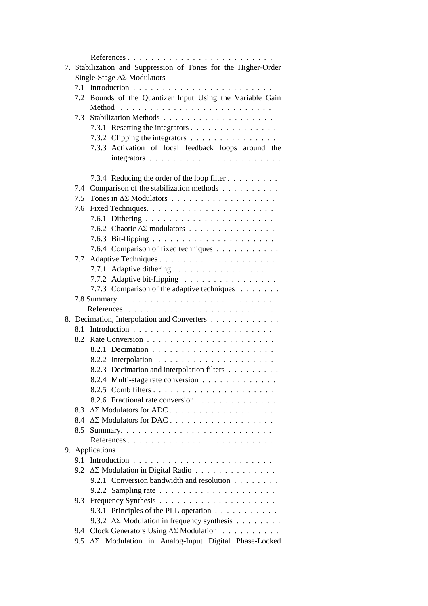|     | 7. Stabilization and Suppression of Tones for the Higher-Order  |
|-----|-----------------------------------------------------------------|
|     | Single-Stage $\Delta\Sigma$ Modulators                          |
|     |                                                                 |
|     | 7.2 Bounds of the Quantizer Input Using the Variable Gain       |
|     |                                                                 |
| 7.3 |                                                                 |
|     | 7.3.1 Resetting the integrators                                 |
|     | 7.3.2 Clipping the integrators $\dots \dots \dots \dots \dots$  |
|     | 7.3.3 Activation of local feedback loops around the             |
|     |                                                                 |
|     |                                                                 |
|     | 7.3.4 Reducing the order of the loop filter                     |
| 7.4 | Comparison of the stabilization methods                         |
| 7.5 |                                                                 |
|     |                                                                 |
|     |                                                                 |
|     | 7.6.2 Chaotic $\Delta \Sigma$ modulators                        |
|     |                                                                 |
|     | 7.6.4 Comparison of fixed techniques                            |
|     |                                                                 |
|     |                                                                 |
|     | 7.7.2 Adaptive bit-flipping                                     |
|     | 7.7.3 Comparison of the adaptive techniques                     |
|     |                                                                 |
|     |                                                                 |
|     | 8. Decimation, Interpolation and Converters                     |
|     |                                                                 |
|     |                                                                 |
|     |                                                                 |
|     |                                                                 |
|     | 8.2.3 Decimation and interpolation filters                      |
|     | 8.2.4 Multi-stage rate conversion                               |
|     |                                                                 |
|     | 8.2.6 Fractional rate conversion                                |
|     | 8.3 $\Delta\Sigma$ Modulators for ADC                           |
|     | 8.4 ΔΣ Modulators for DAC                                       |
| 8.5 |                                                                 |
|     | References                                                      |
|     | 9. Applications                                                 |
|     |                                                                 |
|     | 9.2 $\Delta \Sigma$ Modulation in Digital Radio                 |
|     | 9.2.1 Conversion bandwidth and resolution                       |
|     | 9.2.2 Sampling rate $\ldots \ldots \ldots \ldots \ldots \ldots$ |
|     |                                                                 |
|     | 9.3.1 Principles of the PLL operation                           |
|     | 9.3.2 $\Delta \Sigma$ Modulation in frequency synthesis         |
|     | 9.4 Clock Generators Using $\Delta \Sigma$ Modulation           |
| 9.5 | ΔΣ Modulation in Analog-Input Digital Phase-Locked              |
|     |                                                                 |